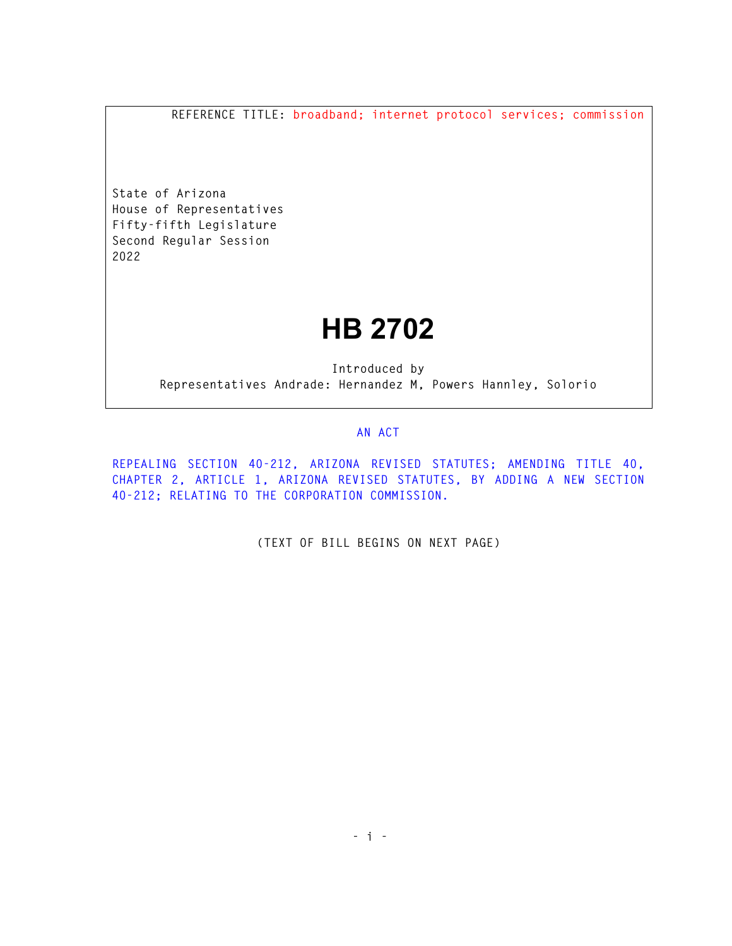**REFERENCE TITLE: broadband; internet protocol services; commission** 

**State of Arizona House of Representatives Fifty-fifth Legislature Second Regular Session 2022** 

## **HB 2702**

**Introduced by Representatives Andrade: Hernandez M, Powers Hannley, Solorio** 

## **AN ACT**

**REPEALING SECTION 40-212, ARIZONA REVISED STATUTES; AMENDING TITLE 40, CHAPTER 2, ARTICLE 1, ARIZONA REVISED STATUTES, BY ADDING A NEW SECTION 40-212; RELATING TO THE CORPORATION COMMISSION.** 

**(TEXT OF BILL BEGINS ON NEXT PAGE)**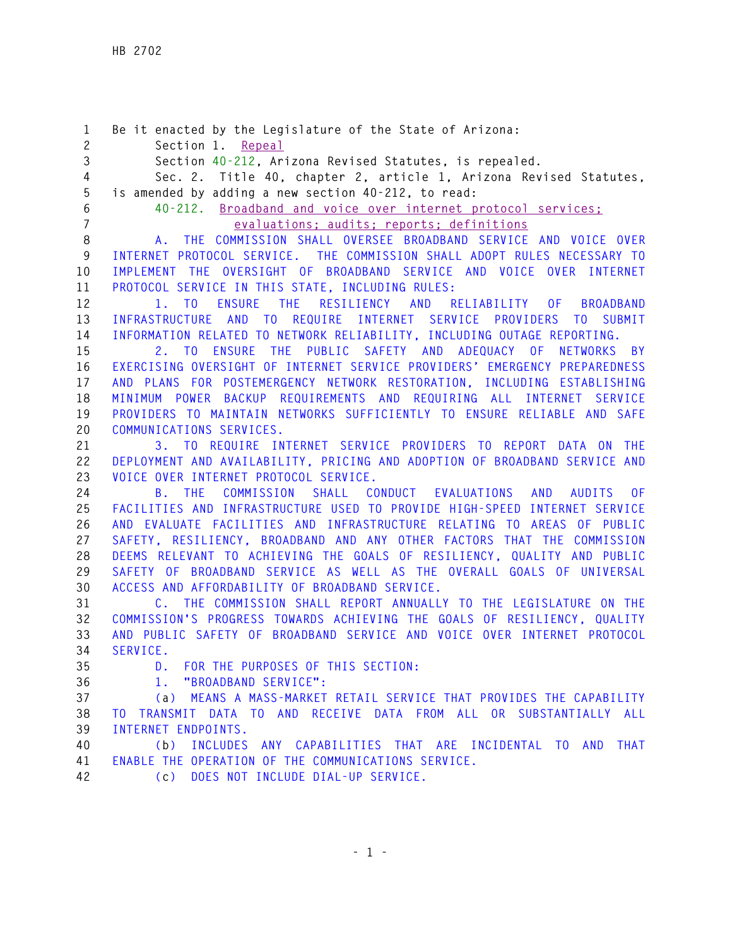**1 Be it enacted by the Legislature of the State of Arizona: 2 Section 1. Repeal 3 Section 40-212, Arizona Revised Statutes, is repealed. 4 Sec. 2. Title 40, chapter 2, article 1, Arizona Revised Statutes, 5 is amended by adding a new section 40-212, to read: 6 40-212. Broadband and voice over internet protocol services; 7 evaluations; audits; reports; definitions 8 A. THE COMMISSION SHALL OVERSEE BROADBAND SERVICE AND VOICE OVER 9 INTERNET PROTOCOL SERVICE. THE COMMISSION SHALL ADOPT RULES NECESSARY TO 10 IMPLEMENT THE OVERSIGHT OF BROADBAND SERVICE AND VOICE OVER INTERNET 11 PROTOCOL SERVICE IN THIS STATE, INCLUDING RULES: 12 1. TO ENSURE THE RESILIENCY AND RELIABILITY OF BROADBAND 13 INFRASTRUCTURE AND TO REQUIRE INTERNET SERVICE PROVIDERS TO SUBMIT 14 INFORMATION RELATED TO NETWORK RELIABILITY, INCLUDING OUTAGE REPORTING. 15 2. TO ENSURE THE PUBLIC SAFETY AND ADEQUACY OF NETWORKS BY 16 EXERCISING OVERSIGHT OF INTERNET SERVICE PROVIDERS' EMERGENCY PREPAREDNESS 17 AND PLANS FOR POSTEMERGENCY NETWORK RESTORATION, INCLUDING ESTABLISHING 18 MINIMUM POWER BACKUP REQUIREMENTS AND REQUIRING ALL INTERNET SERVICE 19 PROVIDERS TO MAINTAIN NETWORKS SUFFICIENTLY TO ENSURE RELIABLE AND SAFE 20 COMMUNICATIONS SERVICES. 21 3. TO REQUIRE INTERNET SERVICE PROVIDERS TO REPORT DATA ON THE 22 DEPLOYMENT AND AVAILABILITY, PRICING AND ADOPTION OF BROADBAND SERVICE AND 23 VOICE OVER INTERNET PROTOCOL SERVICE. 24 B. THE COMMISSION SHALL CONDUCT EVALUATIONS AND AUDITS OF 25 FACILITIES AND INFRASTRUCTURE USED TO PROVIDE HIGH-SPEED INTERNET SERVICE 26 AND EVALUATE FACILITIES AND INFRASTRUCTURE RELATING TO AREAS OF PUBLIC 27 SAFETY, RESILIENCY, BROADBAND AND ANY OTHER FACTORS THAT THE COMMISSION 28 DEEMS RELEVANT TO ACHIEVING THE GOALS OF RESILIENCY, QUALITY AND PUBLIC 29 SAFETY OF BROADBAND SERVICE AS WELL AS THE OVERALL GOALS OF UNIVERSAL 30 ACCESS AND AFFORDABILITY OF BROADBAND SERVICE. 31 C. THE COMMISSION SHALL REPORT ANNUALLY TO THE LEGISLATURE ON THE 32 COMMISSION'S PROGRESS TOWARDS ACHIEVING THE GOALS OF RESILIENCY, QUALITY 33 AND PUBLIC SAFETY OF BROADBAND SERVICE AND VOICE OVER INTERNET PROTOCOL 34 SERVICE. 35 D. FOR THE PURPOSES OF THIS SECTION: 36 1. "BROADBAND SERVICE": 37 (a) MEANS A MASS-MARKET RETAIL SERVICE THAT PROVIDES THE CAPABILITY 38 TO TRANSMIT DATA TO AND RECEIVE DATA FROM ALL OR SUBSTANTIALLY ALL 39 INTERNET ENDPOINTS. 40 (b) INCLUDES ANY CAPABILITIES THAT ARE INCIDENTAL TO AND THAT 41 ENABLE THE OPERATION OF THE COMMUNICATIONS SERVICE. 42 (c) DOES NOT INCLUDE DIAL-UP SERVICE.**